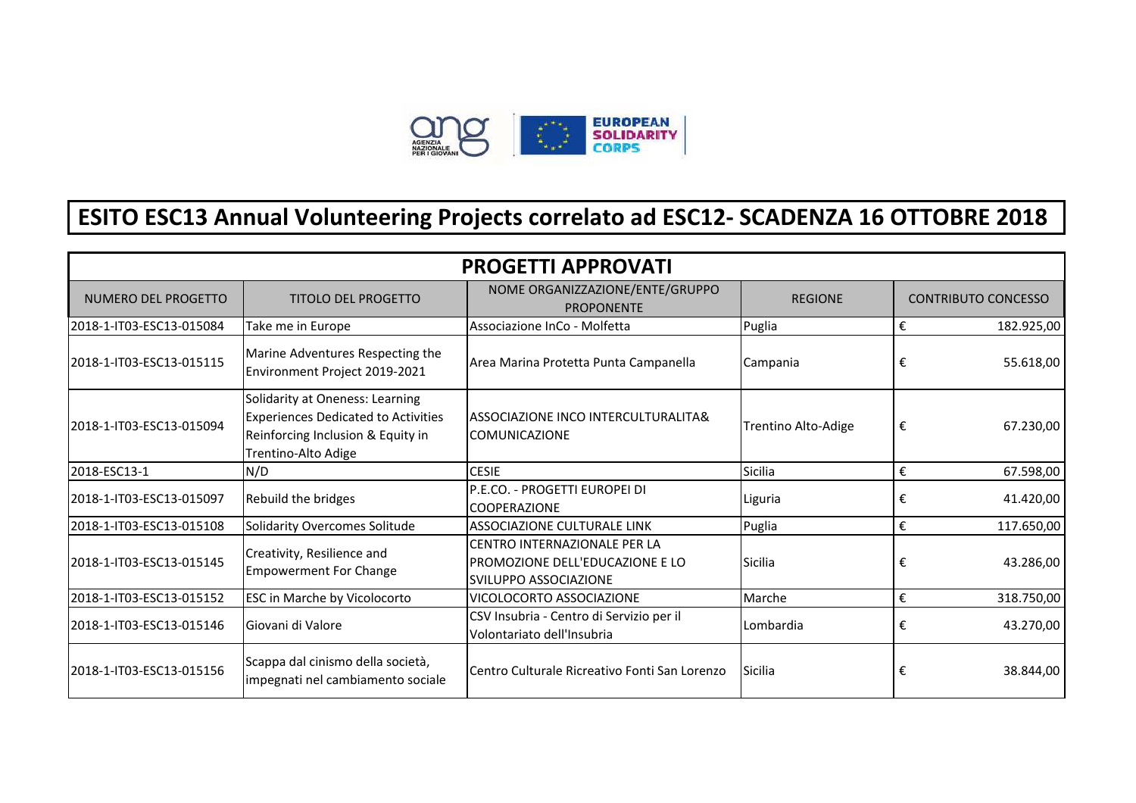

## **ESITO ESC13 Annual Volunteering Projects correlato ad ESC12- SCADENZA 16 OTTOBRE 2018**

| <b>PROGETTI APPROVATI</b> |                                                                                                                                           |                                                                                                 |                            |                         |                            |  |  |  |
|---------------------------|-------------------------------------------------------------------------------------------------------------------------------------------|-------------------------------------------------------------------------------------------------|----------------------------|-------------------------|----------------------------|--|--|--|
| NUMERO DEL PROGETTO       | <b>TITOLO DEL PROGETTO</b>                                                                                                                | NOME ORGANIZZAZIONE/ENTE/GRUPPO<br><b>PROPONENTE</b>                                            | <b>REGIONE</b>             |                         | <b>CONTRIBUTO CONCESSO</b> |  |  |  |
| 2018-1-IT03-ESC13-015084  | Take me in Europe                                                                                                                         | Associazione InCo - Molfetta                                                                    | Puglia                     | €                       | 182.925,00                 |  |  |  |
| 2018-1-IT03-ESC13-015115  | Marine Adventures Respecting the<br>Environment Project 2019-2021                                                                         | Area Marina Protetta Punta Campanella                                                           | Campania                   | €                       | 55.618,00                  |  |  |  |
| 2018-1-IT03-ESC13-015094  | Solidarity at Oneness: Learning<br><b>Experiences Dedicated to Activities</b><br>Reinforcing Inclusion & Equity in<br>Trentino-Alto Adige | ASSOCIAZIONE INCO INTERCULTURALITA&<br><b>COMUNICAZIONE</b>                                     | <b>Trentino Alto-Adige</b> | €                       | 67.230,00                  |  |  |  |
| 2018-ESC13-1              | N/D                                                                                                                                       | <b>CESIE</b>                                                                                    | Sicilia                    | $\boldsymbol{\epsilon}$ | 67.598,00                  |  |  |  |
| 2018-1-IT03-ESC13-015097  | Rebuild the bridges                                                                                                                       | P.E.CO. - PROGETTI EUROPEI DI<br><b>COOPERAZIONE</b>                                            | Liguria                    | €                       | 41.420,00                  |  |  |  |
| 2018-1-IT03-ESC13-015108  | Solidarity Overcomes Solitude                                                                                                             | <b>ASSOCIAZIONE CULTURALE LINK</b>                                                              | Puglia                     | €                       | 117.650,00                 |  |  |  |
| 2018-1-IT03-ESC13-015145  | Creativity, Resilience and<br><b>Empowerment For Change</b>                                                                               | CENTRO INTERNAZIONALE PER LA<br>PROMOZIONE DELL'EDUCAZIONE E LO<br><b>SVILUPPO ASSOCIAZIONE</b> | Sicilia                    | €                       | 43.286,00                  |  |  |  |
| 2018-1-IT03-ESC13-015152  | ESC in Marche by Vicolocorto                                                                                                              | VICOLOCORTO ASSOCIAZIONE                                                                        | Marche                     | €                       | 318.750,00                 |  |  |  |
| 2018-1-IT03-ESC13-015146  | Giovani di Valore                                                                                                                         | CSV Insubria - Centro di Servizio per il<br>Volontariato dell'Insubria                          | Lombardia                  | €                       | 43.270,00                  |  |  |  |
| 2018-1-IT03-ESC13-015156  | Scappa dal cinismo della società,<br>impegnati nel cambiamento sociale                                                                    | Centro Culturale Ricreativo Fonti San Lorenzo                                                   | Sicilia                    | €                       | 38.844,00                  |  |  |  |